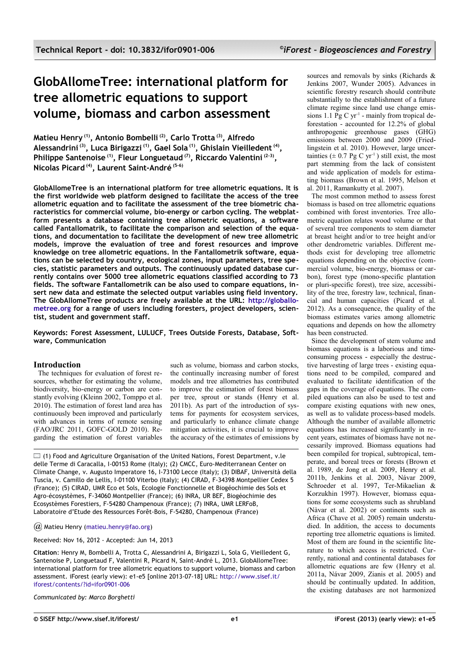# **GlobAllomeTree: international platform for tree allometric equations to support volume, biomass and carbon assessment**

**Matieu Henry (1), Antonio Bombelli (2), Carlo Trotta (3), Alfredo Alessandrini (3), Luca Birigazzi (1), Gael Sola (1), Ghislain Vieilledent (4) , Philippe Santenoise (1), Fleur Longuetaud (7), Riccardo Valentini (2-3) , Nicolas Picard (4), Laurent Saint-André (5-6)**

**GlobAllomeTree is an international platform for tree allometric equations. It is the first worldwide web platform designed to facilitate the access of the tree allometric equation and to facilitate the assessment of the tree biometric characteristics for commercial volume, bio-energy or carbon cycling. The webplatform presents a database containing tree allometric equations, a software called Fantallomatrik, to facilitate the comparison and selection of the equations, and documentation to facilitate the development of new tree allometric models, improve the evaluation of tree and forest resources and improve knowledge on tree allometric equations. In the Fantallometrik software, equations can be selected by country, ecological zones, input parameters, tree species, statistic parameters and outputs. The continuously updated database currently contains over 5000 tree allometric equations classified according to 73 fields. The software Fantallometrik can be also used to compare equations, insert new data and estimate the selected output variables using field inventory. The GlobAllomeTree products are freely available at the URL: [http://globallo](http://globallometree.org/)[metree.org](http://globallometree.org/) for a range of users including foresters, project developers, scientist, student and government staff.**

**Keywords: Forest Assessment, LULUCF, Trees Outside Forests, Database, Software, Communication**

## **Introduction**

The techniques for evaluation of forest resources, whether for estimating the volume, biodiversity, bio-energy or carbon are constantly evolving (Kleinn 2002, Tomppo et al. 2010). The estimation of forest land area has continuously been improved and particularly with advances in terms of remote sensing (FAO/JRC 2011, GOFC-GOLD 2010). Regarding the estimation of forest variables

such as volume, biomass and carbon stocks, the continually increasing number of forest models and tree allometries has contributed to improve the estimation of forest biomass per tree, sprout or stands (Henry et al. 2011b). As part of the introduction of systems for payments for ecosystem services, and particularly to enhance climate change mitigation activities, it is crucial to improve the accuracy of the estimates of emissions by

 $\Box$  (1) Food and Agriculture Organisation of the United Nations, Forest Department, v.le delle Terme di Caracalla, I-00153 Rome (Italy); (2) CMCC, Euro-Mediterranean Center on Climate Change, v. Augusto Imperatore 16, I-73100 Lecce (Italy); (3) DIBAF, Università della Tuscia, v. Camillo de Lellis, I-01100 Viterbo (Italy); (4) CIRAD, F-34398 Montpellier Cedex 5 (France); (5) CIRAD, UMR Eco et Sols, Ecologie Fonctionnelle et Biogéochimie des Sols et Agro-écosystèmes, F-34060 Montpellier (France); (6) INRA, UR BEF, Biogéochimie des Ecosystèmes Forestiers, F-54280 Champenoux (France); (7) INRA, UMR LERFoB, Laboratoire d'Etude des Ressources Forêt-Bois, F-54280, Champenoux (France)

*@* Matieu Henry [\(matieu.henry@fao.org\)](mailto:)

Received: Nov 16, 2012 - Accepted: Jun 14, 2013

**Citation**: Henry M, Bombelli A, Trotta C, Alessandrini A, Birigazzi L, Sola G, Vieilledent G, Santenoise P, Longuetaud F, Valentini R, Picard N, Saint-André L, 2013. GlobAllomeTree: international platform for tree allometric equations to support volume, biomass and carbon assessment. iForest (early view): e1-e5 [online 2013-07-18] URL: [http://www.sisef.it/](http://www.sisef.it/iforest/contents/?id=ifor0901-006) [iforest/contents/?id=ifor0901-006](http://www.sisef.it/iforest/contents/?id=ifor0901-006)

*Communicated by: Marco Borghetti*

sources and removals by sinks (Richards & Jenkins 2007, Wunder 2005). Advances in scientific forestry research should contribute substantially to the establishment of a future climate regime since land use change emissions 1.1 Pg C  $yr^{-1}$  - mainly from tropical deforestation - accounted for 12.2% of global anthropogenic greenhouse gases (GHG) emissions between 2000 and 2009 (Friedlingstein et al. 2010). However, large uncertainties  $(\pm 0.7 \text{ Pg C yr}^{-1})$  still exist, the most part stemming from the lack of consistent and wide application of models for estimating biomass (Brown et al. 1995, Melson et al. 2011, Ramankutty et al. 2007).

The most common method to assess forest biomass is based on tree allometric equations combined with forest inventories. Tree allometric equation relates wood volume or that of several tree components to stem diameter at breast height and/or to tree height and/or other dendrometric variables. Different methods exist for developing tree allometric equations depending on the objective (commercial volume, bio-energy, biomass or carbon), forest type (mono-specific plantation or pluri-specific forest), tree size, accessibility of the tree, forestry law, technical, financial and human capacities (Picard et al. 2012). As a consequence, the quality of the biomass estimates varies among allometric equations and depends on how the allometry has been constructed.

Since the development of stem volume and biomass equations is a laborious and timeconsuming process - especially the destructive harvesting of large trees - existing equations need to be compiled, compared and evaluated to facilitate identification of the gaps in the coverage of equations. The compiled equations can also be used to test and compare existing equations with new ones, as well as to validate process-based models. Although the number of available allometric equations has increased significantly in recent years, estimates of biomass have not necessarily improved. Biomass equations had been compiled for tropical, subtropical, temperate, and boreal trees or forests (Brown et al. 1989, de Jong et al. 2009, Henry et al. 2011b, Jenkins et al. 2003, Návar 2009, Schroeder et al. 1997, Ter-Mikaelian & Korzukhin 1997). However, biomass equations for some ecosystems such as shrubland (Nàvar et al. 2002) or continents such as Africa (Chave et al. 2005) remain understudied. In addition, the access to documents reporting tree allometric equations is limited. Most of them are found in the scientific literature to which access is restricted. Currently, national and continental databases for allometric equations are few (Henry et al. 2011a, Návar 2009, Zianis et al. 2005) and should be continually updated. In addition, the existing databases are not harmonized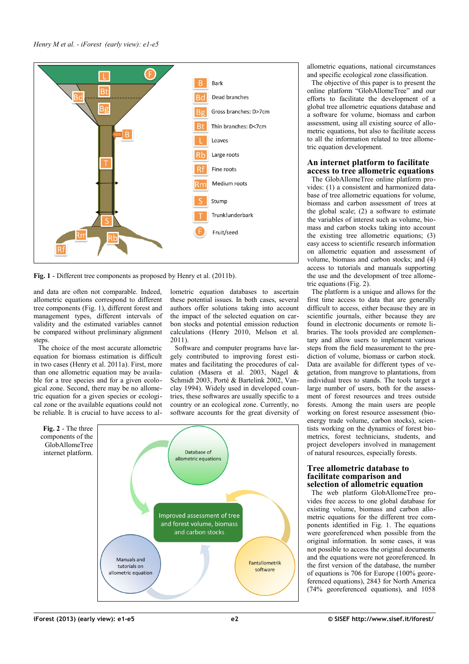

<span id="page-1-0"></span>**Fig. 1** - Different tree components as proposed by Henry et al. (2011b).

and data are often not comparable. Indeed, allometric equations correspond to different tree components [\(Fig. 1\)](#page-1-0), different forest and management types, different intervals of validity and the estimated variables cannot be compared without preliminary alignment steps.

The choice of the most accurate allometric equation for biomass estimation is difficult in two cases (Henry et al. 2011a). First, more than one allometric equation may be available for a tree species and for a given ecological zone. Second, there may be no allometric equation for a given species or ecological zone or the available equations could not be reliable. It is crucial to have access to allometric equation databases to ascertain these potential issues. In both cases, several authors offer solutions taking into account the impact of the selected equation on carbon stocks and potential emission reduction calculations (Henry 2010, Melson et al. 2011).

Software and computer programs have largely contributed to improving forest estimates and facilitating the procedures of calculation (Masera et al. 2003, Nagel & Schmidt 2003, Porté & Bartelink 2002, Vanclay 1994). Widely used in developed countries, these softwares are usually specific to a country or an ecological zone. Currently, no software accounts for the great diversity of

<span id="page-1-1"></span>

allometric equations, national circumstances and specific ecological zone classification.

The objective of this paper is to present the online platform "GlobAllomeTree" and our efforts to facilitate the development of a global tree allometric equations database and a software for volume, biomass and carbon assessment, using all existing source of allometric equations, but also to facilitate access to all the information related to tree allometric equation development.

## **An internet platform to facilitate access to tree allometric equations**

The GlobAllomeTree online platform provides: (1) a consistent and harmonized database of tree allometric equations for volume, biomass and carbon assessment of trees at the global scale; (2) a software to estimate the variables of interest such as volume, biomass and carbon stocks taking into account the existing tree allometric equations; (3) easy access to scientific research information on allometric equation and assessment of volume, biomass and carbon stocks; and (4) access to tutorials and manuals supporting the use and the development of tree allometric equations [\(Fig. 2\)](#page-1-1).

The platform is a unique and allows for the first time access to data that are generally difficult to access, either because they are in scientific journals, either because they are found in electronic documents or remote libraries. The tools provided are complementary and allow users to implement various steps from the field measurement to the prediction of volume, biomass or carbon stock. Data are available for different types of vegetation, from mangrove to plantations, from individual trees to stands. The tools target a large number of users, both for the assessment of forest resources and trees outside forests. Among the main users are people working on forest resource assessment (bioenergy trade volume, carbon stocks), scientists working on the dynamics of forest biometrics, forest technicians, students, and project developers involved in management of natural resources, especially forests.

## **Tree allometric database to facilitate comparison and selection of allometric equation**

The web platform GlobAllomeTree provides free access to one global database for existing volume, biomass and carbon allometric equations for the different tree components identified in [Fig. 1.](#page-1-0) The equations were georeferenced when possible from the original information. In some cases, it was not possible to access the original documents and the equations were not georeferenced. In the first version of the database, the number of equations is 706 for Europe (100% georeferenced equations), 2843 for North America (74% georeferenced equations), and 1058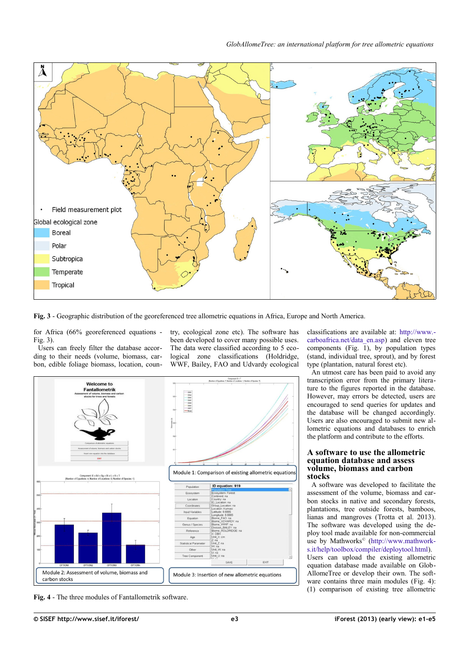

<span id="page-2-1"></span>**Fig. 3** - Geographic distribution of the georeferenced tree allometric equations in Africa, Europe and North America.

for Africa (66% georeferenced equations - [Fig. 3\)](#page-2-1).

Users can freely filter the database according to their needs (volume, biomass, carbon, edible foliage biomass, location, country, ecological zone etc). The software has been developed to cover many possible uses. The data were classified according to 5 ecological zone classifications (Holdridge, WWF, Bailey, FAO and Udvardy ecological



<span id="page-2-0"></span>**Fig. 4** - The three modules of Fantallometrik software.

classifications are available at: [http://www.](http://www.carboafrica.net/data_en.asp) [carboafrica.net/data\\_en.asp\)](http://www.carboafrica.net/data_en.asp) and eleven tree components [\(Fig. 1\)](#page-1-0), by population types (stand, individual tree, sprout), and by forest type (plantation, natural forest etc).

An utmost care has been paid to avoid any transcription error from the primary literature to the figures reported in the database. However, may errors be detected, users are encouraged to send queries for updates and the database will be changed accordingly. Users are also encouraged to submit new allometric equations and databases to enrich the platform and contribute to the efforts.

#### **A software to use the allometric equation database and assess volume, biomass and carbon stocks**

A software was developed to facilitate the assessment of the volume, biomass and carbon stocks in native and secondary forests, plantations, tree outside forests, bamboos, lianas and mangroves (Trotta et al. 2013). The software was developed using the deploy tool made available for non-commercial use by Mathworks© [\(http://www.mathwork](http://www.mathworks.it/help/toolbox/compiler/deploytool.html)[s.it/help/toolbox/compiler/deploytool.html\)](http://www.mathworks.it/help/toolbox/compiler/deploytool.html). Users can upload the existing allometric equation database made available on Glob-AllomeTree or develop their own. The soft-ware contains three main modules [\(Fig. 4\)](#page-2-0): (1) comparison of existing tree allometric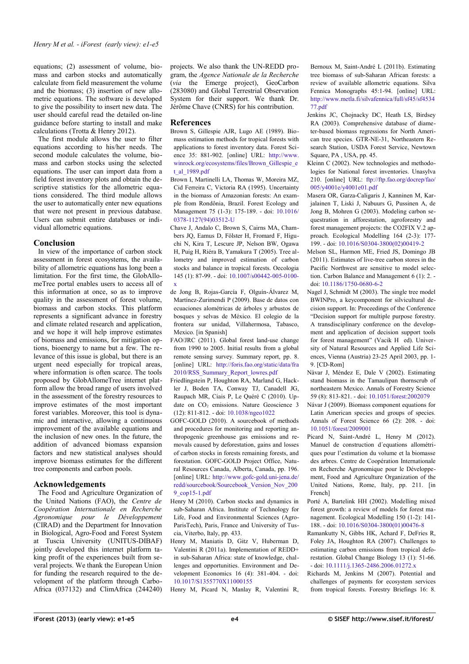equations; (2) assessment of volume, biomass and carbon stocks and automatically calculate from field measurement the volume and the biomass; (3) insertion of new allometric equations. The software is developed to give the possibility to insert new data. The user should careful read the detailed on-line guidance before starting to install and make calculations (Trotta & Henry 2012).

The first module allows the user to filter equations according to his/her needs. The second module calculates the volume, biomass and carbon stocks using the selected equations. The user can import data from a field forest inventory plots and obtain the descriptive statistics for the allometric equations considered. The third module allows the user to automatically enter new equations that were not present in previous database. Users can submit entire databases or individual allometric equations.

### **Conclusion**

In view of the importance of carbon stock assessment in forest ecosystems, the availability of allometric equations has long been a limitation. For the first time, the GlobAllomeTree portal enables users to access all of this information at once, so as to improve quality in the assessment of forest volume, biomass and carbon stocks. This platform represents a significant advance in forestry and climate related research and application, and we hope it will help improve estimates of biomass and emissions, for mitigation options, bioenergy to name but a few. The relevance of this issue is global, but there is an urgent need especially for tropical areas, where information is often scarce. The tools proposed by GlobAllomeTree internet platform allow the broad range of users involved in the assessment of the forestry resources to improve estimates of the most important forest variables. Moreover, this tool is dynamic and interactive, allowing a continuous improvement of the available equations and the inclusion of new ones. In the future, the addition of advanced biomass expansion factors and new statistical analyses should improve biomass estimates for the different tree components and carbon pools.

#### **Acknowledgements**

The Food and Agriculture Organization of the United Nations (FAO), the *Centre de Coopération Internationale en Recherche Agronomique pour le Développement* (CIRAD) and the Department for Innovation in Biological, Agro-Food and Forest System at Tuscia University (UNITUS-DIBAF) jointly developed this internet platform taking profit of the experiences built from several projects. We thank the European Union for funding the research required to the development of the platform through Carbo-Africa (037132) and ClimAfrica (244240) projects. We also thank the UN-REDD program, the *Agence Nationale de la Recherche* (*via* the Emerge project), GeoCarbon (283080) and Global Terrestrial Observation System for their support. We thank Dr. Jérôme Chave (CNRS) for his contribution.

#### **References**

- Brown S, Gillespie AJR, Lugo AE (1989). Biomass estimation methods for tropical forests with applications to forest inventory data. Forest Science 35: 881-902. [online] URL: [http://www.](http://www.winrock.org/ecosystems/files/Brown_Gillespie_et_al_1989.pdf) [winrock.org/ecosystems/files/Brown\\_Gillespie\\_e](http://www.winrock.org/ecosystems/files/Brown_Gillespie_et_al_1989.pdf) [t\\_al\\_1989.pdf](http://www.winrock.org/ecosystems/files/Brown_Gillespie_et_al_1989.pdf)
- Brown I, Martinelli LA, Thomas W, Moreira MZ, Cid Ferreira C, Victoria RA (1995). Uncertainty in the biomass of Amazonian forests: An example from Rondônia, Brazil. Forest Ecology and Management 75 (1-3): 175-189. - doi: [10.1016/](http://dx.doi.org/10.1016/0378-1127(94)03512-U) [0378-1127\(94\)03512-U](http://dx.doi.org/10.1016/0378-1127(94)03512-U)
- Chave J, Andalo C, Brown S, Cairns MA, Chambers JQ, Eamus D, Fölster H, Fromard F, Higuchi N, Kira T, Lescure JP, Nelson BW, Ogawa H, Puig H, Riéra B, Yamakura T (2005). Tree allometry and improved estimation of carbon stocks and balance in tropical forests. Oecologia 145 (1): 87-99. - doi: [10.1007/s00442-005-0100](http://dx.doi.org/10.1007/s00442-005-0100-x) [x](http://dx.doi.org/10.1007/s00442-005-0100-x)
- de Jong B, Rojas-García F, Olguín-Álvarez M, Martínez-Zurimendi P (2009). Base de datos con ecuaciones alométricas de árboles y arbustos de bosques y selvas de México. El colegio de la frontera sur unidad, Villahermosa, Tabasco, Mexico. [in Spanish]
- FAO/JRC (2011). Global forest land-use change from 1990 to 2005. Initial results from a global remote sensing survey. Summary report, pp. 8. [online] URL: [http://foris.fao.org/static/data/fra](http://foris.fao.org/static/data/fra2010/RSS_Summary_Report_lowres.pdf) [2010/RSS\\_Summary\\_Report\\_lowres.pdf](http://foris.fao.org/static/data/fra2010/RSS_Summary_Report_lowres.pdf)
- Friedlingstein P, Houghton RA, Marland G, Hackler J, Boden TA, Conway TJ, Canadell JG, Raupach MR, Ciais P, Le Quéré C (2010). Update on  $CO<sub>2</sub>$  emissions. Nature Geoscience 3 (12): 811-812. - doi: [10.1038/ngeo1022](http://dx.doi.org/10.1038/ngeo1022)
- GOFC-GOLD (2010). A sourcebook of methods and procedures for monitoring and reporting anthropogenic greenhouse gas emissions and removals caused by deforestation, gains and losses of carbon stocks in forests remaining forests, and forestation. GOFC-GOLD Project Office, Natural Resources Canada, Alberta, Canada, pp. 196. [online] URL: [http://www.gofc-gold.uni-jena.de/](http://www.gofc-gold.uni-jena.de/redd/sourcebook/Sourcebook_Version_Nov_2009_cop15-1.pdf) [redd/sourcebook/Sourcebook\\_Version\\_Nov\\_200](http://www.gofc-gold.uni-jena.de/redd/sourcebook/Sourcebook_Version_Nov_2009_cop15-1.pdf) [9\\_cop15-1.pdf](http://www.gofc-gold.uni-jena.de/redd/sourcebook/Sourcebook_Version_Nov_2009_cop15-1.pdf)
- Henry M (2010). Carbon stocks and dynamics in sub-Saharan Africa. Institute of Technology for Life, Food and Environmental Sciences (Agro-ParisTech), Paris, France and University of Tuscia, Viterbo, Italy, pp. 433.
- Henry M, Maniatis D, Gitz V, Huberman D, Valentini R (2011a). Implementation of REDD+ in sub-Saharan Africa: state of knowledge, challenges and opportunities. Environment and Development Economics 16 (4): 381-404. - doi: [10.1017/S1355770X11000155](http://dx.doi.org/10.1017/S1355770X11000155)
- Henry M, Picard N, Manlay R, Valentini R,

Bernoux M, Saint-André L (2011b). Estimating tree biomass of sub-Saharan African forests: a review of available allometric equations. Silva Fennica Monographs 45:1-94. [online] URL: [http://www.metla.fi/silvafennica/full/sf45/sf4534](http://www.metla.fi/silvafennica/full/sf45/sf453477.pdf) [77.pdf](http://www.metla.fi/silvafennica/full/sf45/sf453477.pdf)

- Jenkins JC, Chojnacky DC, Heath LS, Birdsey RA (2003). Comprehensive database of diameter-based biomass regressions for North American tree species. GTR-NE-31, Northeastern Research Station, USDA Forest Service, Newtown Square, PA , USA, pp. 45.
- Kleinn C (2002). New technologies and methodologies for National forest inventories. Unasylva 210. [online] URL: [ftp://ftp.fao.org/docrep/fao/](ftp://ftp.fao.org/docrep/fao/005/y4001e/y4001e01.pdf) [005/y4001e/y4001e01.pdf](ftp://ftp.fao.org/docrep/fao/005/y4001e/y4001e01.pdf)
- Masera OR, Garza-Caligaris J, Kanninen M, Karjalainen T, Liski J, Nabuurs G, Pussinen A, de Jong B, Mohren G (2003). Modeling carbon sequestration in afforestation, agroforestry and forest management projects: the CO2FIX V.2 approach. Ecological Modelling 164 (2-3): 177- 199. - doi: [10.1016/S0304-3800\(02\)00419-2](http://dx.doi.org/10.1016/S0304-3800(02)00419-2)
- Melson SL, Harmon ME, Fried JS, Domingo JB (2011). Estimates of live-tree carbon stores in the Pacific Northwest are sensitive to model selection. Carbon Balance and Management 6 (1): 2. doi: [10.1186/1750-0680-6-2](http://dx.doi.org/10.1186/1750-0680-6-2)
- Nagel J, Schmidt M (2003). The single tree model BWINPro, a keycomponent for silvicultural decision support. In: Proceedings of the Conference "Decision support for multiple purpose forestry. A transdisciplinary conference on the development and application of decision support tools for forest management" (Vacik H ed). University of Natural Resources and Applied Life Sciences, Vienna (Austria) 23-25 April 2003, pp. 1- 9. [CD-Rom]
- Nàvar J, Méndez E, Dale V (2002). Estimating stand biomass in the Tamaulipan thornscrub of northeastern Mexico. Annals of Forestry Science 59 (8): 813-821. - doi: [10.1051/forest:2002079](http://dx.doi.org/10.1051/forest:2002079)
- Návar J (2009). Biomass component equations for Latin American species and groups of species. Annals of Forest Science 66 (2): 208. - doi: [10.1051/forest/2009001](http://dx.doi.org/10.1051/forest/2009001)
- Picard N, Saint-André L, Henry M (2012). Manuel de construction d´equations allométriques pour l'estimation du volume et la biomasse des arbres. Centre de Coopération Internationale en Recherche Agronomique pour le Développement, Food and Agriculture Organization of the United Nations, Rome, Italy, pp. 211. [in French]
- Porté A, Bartelink HH (2002). Modelling mixed forest growth: a review of models for forest management. Ecological Modelling 150 (1-2): 141- 188. - doi: [10.1016/S0304-3800\(01\)00476-8](http://dx.doi.org/10.1016/S0304-3800(01)00476-8)
- Ramankutty N, Gibbs HK, Achard F, DeFries R, Foley JA, Houghton RA (2007). Challenges to estimating carbon emissions from tropical deforestation. Global Change Biology 13 (1): 51-66. - doi: [10.1111/j.1365-2486.2006.01272.x](http://dx.doi.org/10.1111/j.1365-2486.2006.01272.x)
- Richards M, Jenkins M (2007). Potential and challenges of payments for ecosystem services from tropical forests. Forestry Briefings 16: 8.